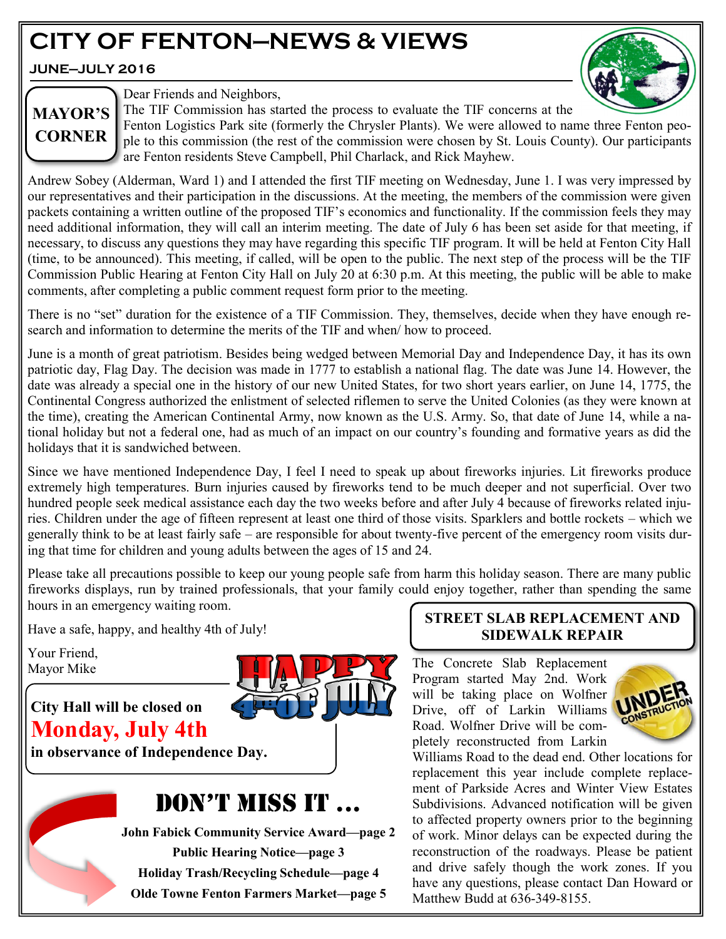# **CITY OF FENTON—NEWS & VIEWS**

**JUNE—JULY 2016**



# **MAYOR'S CORNER**

Dear Friends and Neighbors,

The TIF Commission has started the process to evaluate the TIF concerns at the

Fenton Logistics Park site (formerly the Chrysler Plants). We were allowed to name three Fenton people to this commission (the rest of the commission were chosen by St. Louis County). Our participants are Fenton residents Steve Campbell, Phil Charlack, and Rick Mayhew.

Andrew Sobey (Alderman, Ward 1) and I attended the first TIF meeting on Wednesday, June 1. I was very impressed by our representatives and their participation in the discussions. At the meeting, the members of the commission were given packets containing a written outline of the proposed TIF's economics and functionality. If the commission feels they may need additional information, they will call an interim meeting. The date of July 6 has been set aside for that meeting, if necessary, to discuss any questions they may have regarding this specific TIF program. It will be held at Fenton City Hall (time, to be announced). This meeting, if called, will be open to the public. The next step of the process will be the TIF Commission Public Hearing at Fenton City Hall on July 20 at 6:30 p.m. At this meeting, the public will be able to make comments, after completing a public comment request form prior to the meeting.

There is no "set" duration for the existence of a TIF Commission. They, themselves, decide when they have enough research and information to determine the merits of the TIF and when/ how to proceed.

June is a month of great patriotism. Besides being wedged between Memorial Day and Independence Day, it has its own patriotic day, Flag Day. The decision was made in 1777 to establish a national flag. The date was June 14. However, the date was already a special one in the history of our new United States, for two short years earlier, on June 14, 1775, the Continental Congress authorized the enlistment of selected riflemen to serve the United Colonies (as they were known at the time), creating the American Continental Army, now known as the U.S. Army. So, that date of June 14, while a national holiday but not a federal one, had as much of an impact on our country's founding and formative years as did the holidays that it is sandwiched between.

Since we have mentioned Independence Day, I feel I need to speak up about fireworks injuries. Lit fireworks produce extremely high temperatures. Burn injuries caused by fireworks tend to be much deeper and not superficial. Over two hundred people seek medical assistance each day the two weeks before and after July 4 because of fireworks related injuries. Children under the age of fifteen represent at least one third of those visits. Sparklers and bottle rockets – which we generally think to be at least fairly safe – are responsible for about twenty-five percent of the emergency room visits during that time for children and young adults between the ages of 15 and 24.

Please take all precautions possible to keep our young people safe from harm this holiday season. There are many public fireworks displays, run by trained professionals, that your family could enjoy together, rather than spending the same hours in an emergency waiting room.

Have a safe, happy, and healthy 4th of July!

Your Friend, Mayor Mike

# **City Hall will be closed on Monday, July 4th**

**in observance of Independence Day.**

# DON'T MISS IT ...

**John Fabick Community Service Award—page 2 Public Hearing Notice—page 3 Holiday Trash/Recycling Schedule—page 4 Olde Towne Fenton Farmers Market—page 5**

### **STREET SLAB REPLACEMENT AND SIDEWALK REPAIR**

The Concrete Slab Replacement Program started May 2nd. Work will be taking place on Wolfner Drive, off of Larkin Williams Road. Wolfner Drive will be completely reconstructed from Larkin



Williams Road to the dead end. Other locations for replacement this year include complete replacement of Parkside Acres and Winter View Estates Subdivisions. Advanced notification will be given to affected property owners prior to the beginning of work. Minor delays can be expected during the reconstruction of the roadways. Please be patient and drive safely though the work zones. If you have any questions, please contact Dan Howard or Matthew Budd at 636-349-8155.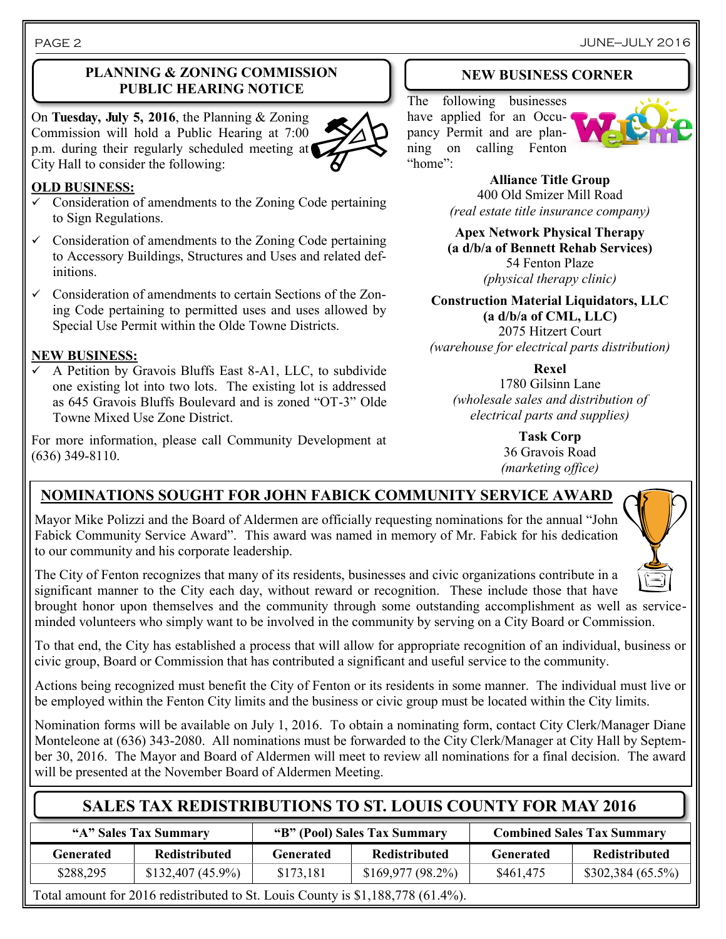On **Tuesday, July 5, 2016**, the Planning & Zoning Commission will hold a Public Hearing at 7:00 p.m. during their regularly scheduled meeting at City Hall to consider the following:



#### **OLD BUSINESS:**

- Consideration of amendments to the Zoning Code pertaining to Sign Regulations.
- $\checkmark$  Consideration of amendments to the Zoning Code pertaining to Accessory Buildings, Structures and Uses and related definitions.
- $\checkmark$  Consideration of amendments to certain Sections of the Zoning Code pertaining to permitted uses and uses allowed by Special Use Permit within the Olde Towne Districts.

#### **NEW BUSINESS:**

 A Petition by Gravois Bluffs East 8-A1, LLC, to subdivide one existing lot into two lots. The existing lot is addressed as 645 Gravois Bluffs Boulevard and is zoned "OT-3" Olde Towne Mixed Use Zone District.

For more information, please call Community Development at (636) 349-8110.

#### **NEW BUSINESS CORNER**

The following businesses have applied for an Occupancy Permit and are planning on calling Fenton "home":



**Alliance Title Group** 400 Old Smizer Mill Road *(real estate title insurance company)*

**Apex Network Physical Therapy (a d/b/a of Bennett Rehab Services)** 54 Fenton Plaze *(physical therapy clinic)*

**Construction Material Liquidators, LLC (a d/b/a of CML, LLC)** 2075 Hitzert Court *(warehouse for electrical parts distribution)*

**Rexel** 1780 Gilsinn Lane *(wholesale sales and distribution of*

*electrical parts and supplies)*

**Task Corp** 36 Gravois Road *(marketing office)*

# **NOMINATIONS SOUGHT FOR JOHN FABICK COMMUNITY SERVICE AWARD**

Mayor Mike Polizzi and the Board of Aldermen are officially requesting nominations for the annual "John Fabick Community Service Award". This award was named in memory of Mr. Fabick for his dedication to our community and his corporate leadership.

The City of Fenton recognizes that many of its residents, businesses and civic organizations contribute in a significant manner to the City each day, without reward or recognition. These include those that have brought honor upon themselves and the community through some outstanding accomplishment as well as serviceminded volunteers who simply want to be involved in the community by serving on a City Board or Commission.

To that end, the City has established a process that will allow for appropriate recognition of an individual, business or civic group, Board or Commission that has contributed a significant and useful service to the community.

Actions being recognized must benefit the City of Fenton or its residents in some manner. The individual must live or be employed within the Fenton City limits and the business or civic group must be located within the City limits.

Nomination forms will be available on July 1, 2016. To obtain a nominating form, contact City Clerk/Manager Diane Monteleone at (636) 343-2080. All nominations must be forwarded to the City Clerk/Manager at City Hall by September 30, 2016. The Mayor and Board of Aldermen will meet to review all nominations for a final decision. The award will be presented at the November Board of Aldermen Meeting.

# **SALES TAX REDISTRIBUTIONS TO ST. LOUIS COUNTY FOR MAY 2016**

| "A" Sales Tax Summary |                      | "B" (Pool) Sales Tax Summary |                      | <b>Combined Sales Tax Summary</b> |                      |
|-----------------------|----------------------|------------------------------|----------------------|-----------------------------------|----------------------|
| <b>Generated</b>      | <b>Redistributed</b> | Generated                    | <b>Redistributed</b> | Generated                         | <b>Redistributed</b> |
| \$288,295             | $$132,407 (45.9\%)$  | \$173,181                    | $$169,977(98.2\%)$   | \$461,475                         | $$302,384(65.5\%)$   |
|                       |                      |                              | .                    |                                   |                      |

Total amount for 2016 redistributed to St. Louis County is \$1,188,778 (61.4%).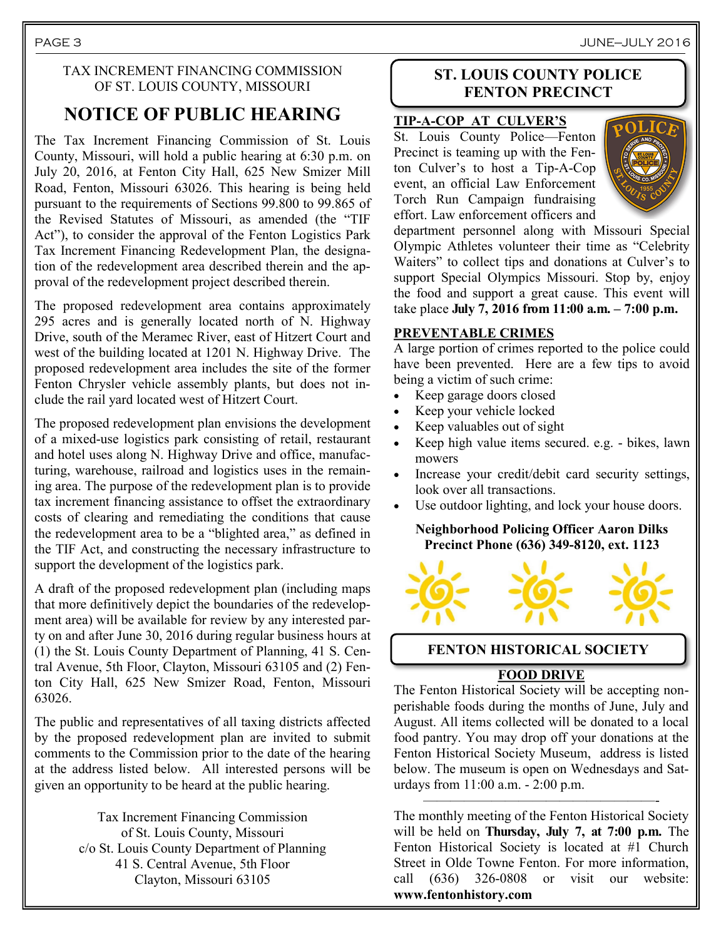#### TAX INCREMENT FINANCING COMMISSION OF ST. LOUIS COUNTY, MISSOURI

# **NOTICE OF PUBLIC HEARING**

The Tax Increment Financing Commission of St. Louis County, Missouri, will hold a public hearing at 6:30 p.m. on July 20, 2016, at Fenton City Hall, 625 New Smizer Mill Road, Fenton, Missouri 63026. This hearing is being held pursuant to the requirements of Sections 99.800 to 99.865 of the Revised Statutes of Missouri, as amended (the "TIF Act"), to consider the approval of the Fenton Logistics Park Tax Increment Financing Redevelopment Plan, the designation of the redevelopment area described therein and the approval of the redevelopment project described therein.

The proposed redevelopment area contains approximately 295 acres and is generally located north of N. Highway Drive, south of the Meramec River, east of Hitzert Court and west of the building located at 1201 N. Highway Drive. The proposed redevelopment area includes the site of the former Fenton Chrysler vehicle assembly plants, but does not include the rail yard located west of Hitzert Court.

The proposed redevelopment plan envisions the development of a mixed-use logistics park consisting of retail, restaurant and hotel uses along N. Highway Drive and office, manufacturing, warehouse, railroad and logistics uses in the remaining area. The purpose of the redevelopment plan is to provide tax increment financing assistance to offset the extraordinary costs of clearing and remediating the conditions that cause the redevelopment area to be a "blighted area," as defined in the TIF Act, and constructing the necessary infrastructure to support the development of the logistics park.

A draft of the proposed redevelopment plan (including maps that more definitively depict the boundaries of the redevelopment area) will be available for review by any interested party on and after June 30, 2016 during regular business hours at (1) the St. Louis County Department of Planning, 41 S. Central Avenue, 5th Floor, Clayton, Missouri 63105 and (2) Fenton City Hall, 625 New Smizer Road, Fenton, Missouri 63026.

The public and representatives of all taxing districts affected by the proposed redevelopment plan are invited to submit comments to the Commission prior to the date of the hearing at the address listed below. All interested persons will be given an opportunity to be heard at the public hearing.

> Tax Increment Financing Commission of St. Louis County, Missouri c/o St. Louis County Department of Planning 41 S. Central Avenue, 5th Floor Clayton, Missouri 63105

#### **ST. LOUIS COUNTY POLICE FENTON PRECINCT**

#### **TIP-A-COP AT CULVER'S**

St. Louis County Police—Fenton Precinct is teaming up with the Fenton Culver's to host a Tip-A-Cop event, an official Law Enforcement Torch Run Campaign fundraising effort. Law enforcement officers and



department personnel along with Missouri Special Olympic Athletes volunteer their time as "Celebrity Waiters" to collect tips and donations at Culver's to support Special Olympics Missouri. Stop by, enjoy the food and support a great cause. This event will take place **July 7, 2016 from 11:00 a.m. – 7:00 p.m.**

#### **PREVENTABLE CRIMES**

A large portion of crimes reported to the police could have been prevented. Here are a few tips to avoid being a victim of such crime:

- Keep garage doors closed
- Keep your vehicle locked
- Keep valuables out of sight
- Keep high value items secured. e.g. bikes, lawn mowers
- Increase your credit/debit card security settings, look over all transactions.
- Use outdoor lighting, and lock your house doors.

#### **Neighborhood Policing Officer Aaron Dilks Precinct Phone (636) 349-8120, ext. 1123**



#### **FENTON HISTORICAL SOCIETY**

#### **FOOD DRIVE**

The Fenton Historical Society will be accepting nonperishable foods during the months of June, July and August. All items collected will be donated to a local food pantry. You may drop off your donations at the Fenton Historical Society Museum, address is listed below. The museum is open on Wednesdays and Saturdays from 11:00 a.m. - 2:00 p.m.

The monthly meeting of the Fenton Historical Society will be held on **Thursday, July 7, at 7:00 p.m.** The Fenton Historical Society is located at #1 Church Street in Olde Towne Fenton. For more information, call (636) 326-0808 or visit our website: **www.fentonhistory.com**

—————————————————-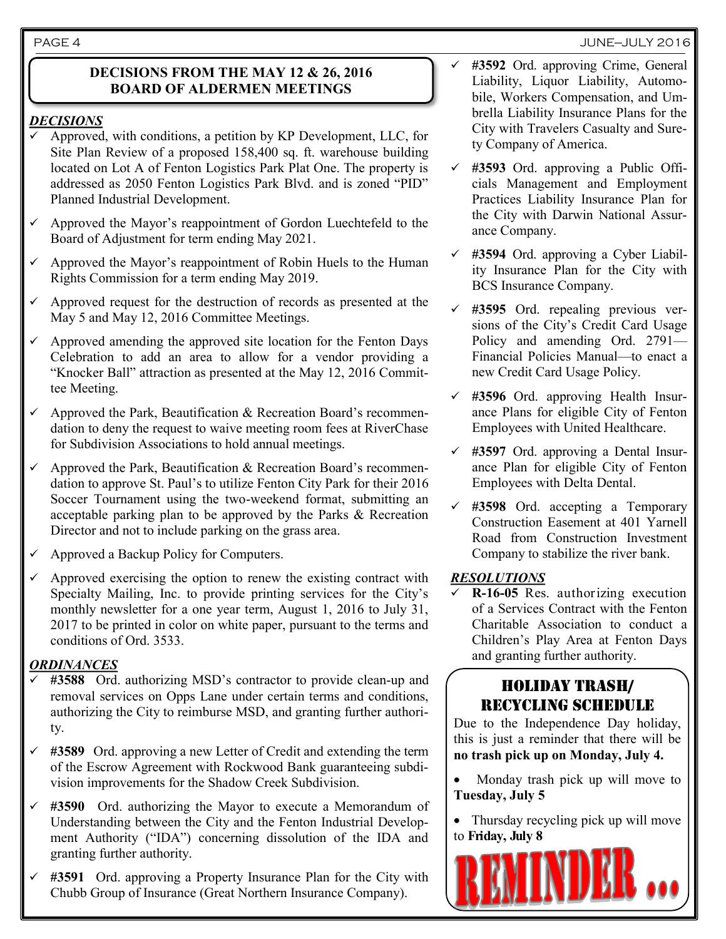#### PAGE 4 JUNE—JULY 2016

#### **DECISIONS FROM THE MAY 12 & 26, 2016 BOARD OF ALDERMEN MEETINGS**

### *DECISIONS*

- Approved, with conditions, a petition by KP Development, LLC, for Site Plan Review of a proposed 158,400 sq. ft. warehouse building located on Lot A of Fenton Logistics Park Plat One. The property is addressed as 2050 Fenton Logistics Park Blvd. and is zoned "PID" Planned Industrial Development.
- Approved the Mayor's reappointment of Gordon Luechtefeld to the Board of Adjustment for term ending May 2021.
- Approved the Mayor's reappointment of Robin Huels to the Human Rights Commission for a term ending May 2019.
- $\checkmark$  Approved request for the destruction of records as presented at the May 5 and May 12, 2016 Committee Meetings.
- Approved amending the approved site location for the Fenton Days Celebration to add an area to allow for a vendor providing a "Knocker Ball" attraction as presented at the May 12, 2016 Committee Meeting.
- $\checkmark$  Approved the Park, Beautification & Recreation Board's recommendation to deny the request to waive meeting room fees at RiverChase for Subdivision Associations to hold annual meetings.
- $\checkmark$  Approved the Park, Beautification & Recreation Board's recommendation to approve St. Paul's to utilize Fenton City Park for their 2016 Soccer Tournament using the two-weekend format, submitting an acceptable parking plan to be approved by the Parks & Recreation Director and not to include parking on the grass area.
- Approved a Backup Policy for Computers.
- Approved exercising the option to renew the existing contract with Specialty Mailing, Inc. to provide printing services for the City's monthly newsletter for a one year term, August 1, 2016 to July 31, 2017 to be printed in color on white paper, pursuant to the terms and conditions of Ord. 3533.

#### *ORDINANCES*

- **#3588** Ord. authorizing MSD's contractor to provide clean-up and removal services on Opps Lane under certain terms and conditions, authorizing the City to reimburse MSD, and granting further authority.
- **#3589** Ord. approving a new Letter of Credit and extending the term of the Escrow Agreement with Rockwood Bank guaranteeing subdivision improvements for the Shadow Creek Subdivision.
- **#3590** Ord. authorizing the Mayor to execute a Memorandum of Understanding between the City and the Fenton Industrial Development Authority ("IDA") concerning dissolution of the IDA and granting further authority.
- **#3591** Ord. approving a Property Insurance Plan for the City with Chubb Group of Insurance (Great Northern Insurance Company).
- **#3592** Ord. approving Crime, General Liability, Liquor Liability, Automobile, Workers Compensation, and Umbrella Liability Insurance Plans for the City with Travelers Casualty and Surety Company of America.
- **#3593** Ord. approving a Public Officials Management and Employment Practices Liability Insurance Plan for the City with Darwin National Assurance Company.
- **#3594** Ord. approving a Cyber Liability Insurance Plan for the City with BCS Insurance Company.
- **#3595** Ord. repealing previous versions of the City's Credit Card Usage Policy and amending Ord. 2791— Financial Policies Manual—to enact a new Credit Card Usage Policy.
- **#3596** Ord. approving Health Insurance Plans for eligible City of Fenton Employees with United Healthcare.
- **#3597** Ord. approving a Dental Insurance Plan for eligible City of Fenton Employees with Delta Dental.
- **#3598** Ord. accepting a Temporary Construction Easement at 401 Yarnell Road from Construction Investment Company to stabilize the river bank.

#### *RESOLUTIONS*

 **R-16-05** Res. authorizing execution of a Services Contract with the Fenton Charitable Association to conduct a Children's Play Area at Fenton Days and granting further authority.

## HOLIDAY TRASH/ RECYCLING SCHEDULE

Due to the Independence Day holiday, this is just a reminder that there will be **no trash pick up on Monday, July 4.**

- Monday trash pick up will move to **Tuesday, July 5**
- Thursday recycling pick up will move to **Friday, July 8**

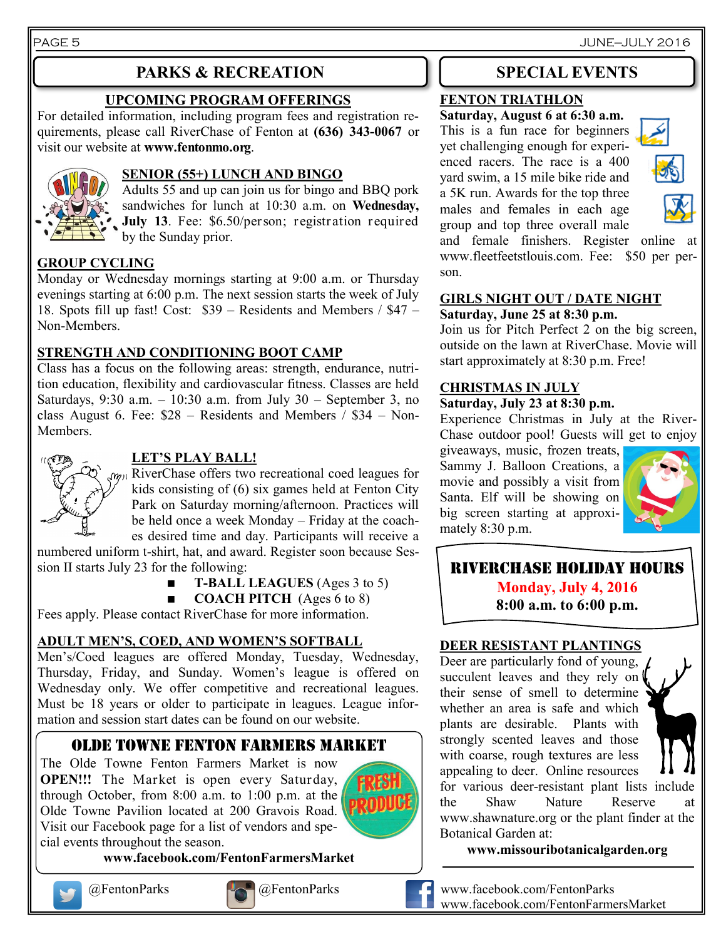PAGE 5 JUNE—JULY 2016

## **PARKS & RECREATION SPECIAL EVENTS**

#### **UPCOMING PROGRAM OFFERINGS**

For detailed information, including program fees and registration requirements, please call RiverChase of Fenton at **(636) 343-0067** or visit our website at **www.fentonmo.org**.



#### **SENIOR (55+) LUNCH AND BINGO**

Adults 55 and up can join us for bingo and BBQ pork sandwiches for lunch at 10:30 a.m. on **Wednesday, July 13**. Fee: \$6.50/person; registration required by the Sunday prior.

#### **GROUP CYCLING**

Monday or Wednesday mornings starting at 9:00 a.m. or Thursday evenings starting at 6:00 p.m. The next session starts the week of July 18. Spots fill up fast! Cost: \$39 – Residents and Members / \$47 – Non-Members.

#### **STRENGTH AND CONDITIONING BOOT CAMP**

Class has a focus on the following areas: strength, endurance, nutrition education, flexibility and cardiovascular fitness. Classes are held Saturdays, 9:30 a.m. – 10:30 a.m. from July 30 – September 3, no class August 6. Fee: \$28 – Residents and Members / \$34 – Non-Members.



#### **LET'S PLAY BALL!**

 $w_{01}$  RiverChase offers two recreational coed leagues for kids consisting of (6) six games held at Fenton City Park on Saturday morning/afternoon. Practices will be held once a week Monday – Friday at the coaches desired time and day. Participants will receive a

numbered uniform t-shirt, hat, and award. Register soon because Session II starts July 23 for the following:

- **T-BALL LEAGUES** (Ages 3 to 5)
- **COACH PITCH** (Ages 6 to 8)

Fees apply. Please contact RiverChase for more information.

#### **ADULT MEN'S, COED, AND WOMEN'S SOFTBALL**

Men's/Coed leagues are offered Monday, Tuesday, Wednesday, Thursday, Friday, and Sunday. Women's league is offered on Wednesday only. We offer competitive and recreational leagues. Must be 18 years or older to participate in leagues. League information and session start dates can be found on our website.

### OLDE TOWNE FENTON FARMERS MARKET

The Olde Towne Fenton Farmers Market is now **OPEN!!!** The Market is open every Saturday, through October, from 8:00 a.m. to 1:00 p.m. at the Olde Towne Pavilion located at 200 Gravois Road. Visit our Facebook page for a list of vendors and special events throughout the season.

**www.facebook.com/FentonFarmersMarket**





#### **FENTON TRIATHLON**

**Saturday, August 6 at 6:30 a.m.** This is a fun race for beginners yet challenging enough for experienced racers. The race is a 400 yard swim, a 15 mile bike ride and a 5K run. Awards for the top three males and females in each age group and top three overall male



and female finishers. Register online www.fleetfeetstlouis.com. Fee: \$50 per person.

#### **GIRLS NIGHT OUT / DATE NIGHT Saturday, June 25 at 8:30 p.m.**

Join us for Pitch Perfect 2 on the big screen, outside on the lawn at RiverChase. Movie will start approximately at 8:30 p.m. Free!

#### **CHRISTMAS IN JULY**

#### **Saturday, July 23 at 8:30 p.m.**

Experience Christmas in July at the River-Chase outdoor pool! Guests will get to enjoy

giveaways, music, frozen treats, Sammy J. Balloon Creations, a movie and possibly a visit from Santa. Elf will be showing on big screen starting at approximately 8:30 p.m.



**Monday, July 4, 2016 8:00 a.m. to 6:00 p.m.**

#### **DEER RESISTANT PLANTINGS**

Deer are particularly fond of young, succulent leaves and they rely on their sense of smell to determine whether an area is safe and which plants are desirable. Plants with strongly scented leaves and those with coarse, rough textures are less appealing to deer. Online resources



for various deer-resistant plant lists include the Shaw Nature Reserve at www.shawnature.org or the plant finder at the Botanical Garden at:

**www.missouribotanicalgarden.org**